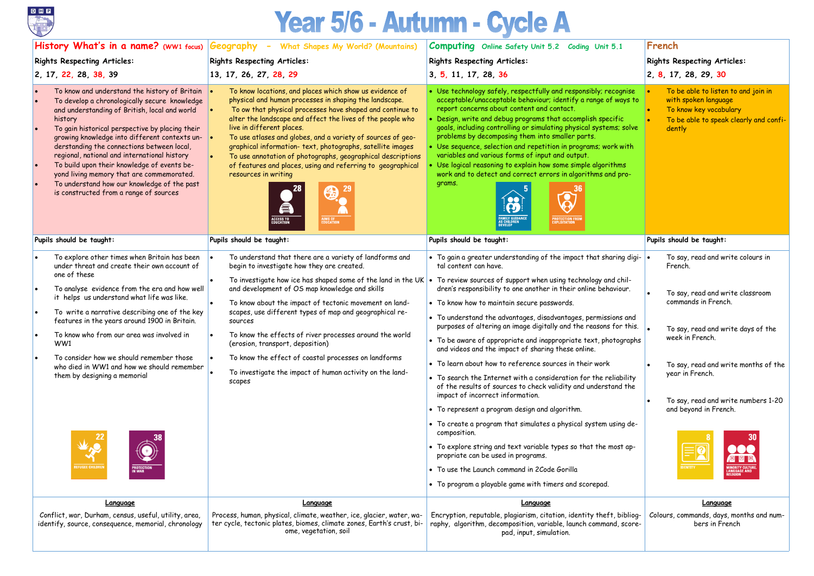

# Year 5/6 - Autumn - Cycle A

|                                                                                                                                                                                                                                                                                                                                                                                                                                                                                                                                                                 | History What's in a name? (WW1 focus) Geography - What Shapes My World? (Mountains)                                                                                                                                                                                                                                                                                                                                                                                                                                                                                                                   | <b>Computing</b> Online Safety Unit 5.2 Coding Unit 5.1                                                                                                                                                                                                                                                                                                                                                                                                                                                                                                                                                                                                                                                                                                                                                                                                                                                                                                                                                                                                                                                                                                                                                                                  | French                                                                                                                                                                                                                                                                                                                                     |  |  |
|-----------------------------------------------------------------------------------------------------------------------------------------------------------------------------------------------------------------------------------------------------------------------------------------------------------------------------------------------------------------------------------------------------------------------------------------------------------------------------------------------------------------------------------------------------------------|-------------------------------------------------------------------------------------------------------------------------------------------------------------------------------------------------------------------------------------------------------------------------------------------------------------------------------------------------------------------------------------------------------------------------------------------------------------------------------------------------------------------------------------------------------------------------------------------------------|------------------------------------------------------------------------------------------------------------------------------------------------------------------------------------------------------------------------------------------------------------------------------------------------------------------------------------------------------------------------------------------------------------------------------------------------------------------------------------------------------------------------------------------------------------------------------------------------------------------------------------------------------------------------------------------------------------------------------------------------------------------------------------------------------------------------------------------------------------------------------------------------------------------------------------------------------------------------------------------------------------------------------------------------------------------------------------------------------------------------------------------------------------------------------------------------------------------------------------------|--------------------------------------------------------------------------------------------------------------------------------------------------------------------------------------------------------------------------------------------------------------------------------------------------------------------------------------------|--|--|
| <b>Rights Respecting Articles:</b>                                                                                                                                                                                                                                                                                                                                                                                                                                                                                                                              | <b>Rights Respecting Articles:</b>                                                                                                                                                                                                                                                                                                                                                                                                                                                                                                                                                                    | <b>Rights Respecting Articles:</b>                                                                                                                                                                                                                                                                                                                                                                                                                                                                                                                                                                                                                                                                                                                                                                                                                                                                                                                                                                                                                                                                                                                                                                                                       | <b>Rights Respecting Articles:</b>                                                                                                                                                                                                                                                                                                         |  |  |
| 2, 17, 22, 28, 38, 39                                                                                                                                                                                                                                                                                                                                                                                                                                                                                                                                           | 13, 17, 26, 27, 28, 29                                                                                                                                                                                                                                                                                                                                                                                                                                                                                                                                                                                | 3, 5, 11, 17, 28, 36                                                                                                                                                                                                                                                                                                                                                                                                                                                                                                                                                                                                                                                                                                                                                                                                                                                                                                                                                                                                                                                                                                                                                                                                                     | 2, 8, 17, 28, 29, 30                                                                                                                                                                                                                                                                                                                       |  |  |
| To know and understand the history of Britain<br>To develop a chronologically secure knowledge<br>and understanding of British, local and world<br>history<br>To gain historical perspective by placing their<br>growing knowledge into different contexts un-<br>derstanding the connections between local,<br>regional, national and international history<br>To build upon their knowledge of events be-<br>yond living memory that are commemorated.<br>To understand how our knowledge of the past<br>is constructed from a range of sources               | To know locations, and places which show us evidence of<br>physical and human processes in shaping the landscape.<br>To ow that physical processes have shaped and continue to<br>alter the landscape and affect the lives of the people who<br>live in different places.<br>To use atlases and globes, and a variety of sources of geo-<br>graphical information-text, photographs, satellite images<br>To use annotation of photographs, geographical descriptions<br>of features and places, using and referring to geographical<br>resources in writing<br>为<br>€<br><b>AIMS OF<br/>EDUCATION</b> | • Use technology safely, respectfully and responsibly; recognise<br>acceptable/unacceptable behaviour; identify a range of ways to<br>report concerns about content and contact.<br>Design, write and debug programs that accomplish specific<br>goals, including controlling or simulating physical systems; solve<br>problems by decomposing them into smaller parts.<br>Use sequence, selection and repetition in programs; work with<br>variables and various forms of input and output.<br>Use logical reasoning to explain how some simple algorithms<br>work and to detect and correct errors in algorithms and pro-<br>grams.<br><b>FAMILY GUIDANC<br/>AS CHILDREN<br/>DEVELOP</b><br><b>PROTECTION FROM</b><br>EXPLOITATION                                                                                                                                                                                                                                                                                                                                                                                                                                                                                                     | To be able to listen to and join in<br>with spoken language<br>To know key vocabulary<br>To be able to speak clearly and confi-<br>dently                                                                                                                                                                                                  |  |  |
| Pupils should be taught:                                                                                                                                                                                                                                                                                                                                                                                                                                                                                                                                        | Pupils should be taught:                                                                                                                                                                                                                                                                                                                                                                                                                                                                                                                                                                              | Pupils should be taught:                                                                                                                                                                                                                                                                                                                                                                                                                                                                                                                                                                                                                                                                                                                                                                                                                                                                                                                                                                                                                                                                                                                                                                                                                 | Pupils should be taught:                                                                                                                                                                                                                                                                                                                   |  |  |
| To explore other times when Britain has been<br>under threat and create their own account of<br>one of these<br>To analyse evidence from the era and how well<br>it helps us understand what life was like.<br>To write a narrative describing one of the key<br>features in the years around 1900 in Britain.<br>To know who from our area was involved in<br>WW1<br>To consider how we should remember those<br>who died in WW1 and how we should remember<br>them by designing a memorial<br>$\frac{1}{2}$<br>REFUGEE CHILDRE<br><b>PROTECTION</b><br>In War | To understand that there are a variety of landforms and<br>begin to investigate how they are created.<br>and development of OS map knowledge and skills<br>To know about the impact of tectonic movement on land-<br>scapes, use different types of map and geographical re-<br>Sources<br>To know the effects of river processes around the world<br>(erosion, transport, deposition)<br>To know the effect of coastal processes on landforms<br>To investigate the impact of human activity on the land-<br>scapes                                                                                  | $\,$ To gain a greater understanding of the impact that sharing digi- $ \bullet\rangle$<br>tal content can have.<br>To investigate how ice has shaped some of the land in the UK $\cdot$ To review sources of support when using technology and chil-<br>dren's responsibility to one another in their online behaviour.<br>• To know how to maintain secure passwords.<br>• To understand the advantages, disadvantages, permissions and<br>purposes of altering an image digitally and the reasons for this.<br>• To be aware of appropriate and inappropriate text, photographs<br>and videos and the impact of sharing these online.<br>• To learn about how to reference sources in their work<br>• To search the Internet with a consideration for the reliability<br>of the results of sources to check validity and understand the<br>impact of incorrect information.<br>• To represent a program design and algorithm.<br>• To create a program that simulates a physical system using de-<br>composition.<br>• To explore string and text variable types so that the most ap-<br>propriate can be used in programs.<br>• To use the Launch command in 2Code Gorilla<br>• To program a playable game with timers and scorepad. | To say, read and write colours in<br>French.<br>To say, read and write classroom<br>commands in French.<br>To say, read and write days of the<br>week in French.<br>To say, read and write months of the<br>year in French.<br>To say, read and write numbers 1-20<br>and beyond in French.<br>MINORITY CULTUI<br>LANGUAGE AND<br>RELIGION |  |  |
| <u>Language</u><br>Conflict, war, Durham, census, useful, utility, area,<br>identify, source, consequence, memorial, chronology                                                                                                                                                                                                                                                                                                                                                                                                                                 | Language<br>Process, human, physical, climate, weather, ice, glacier, water, wa-<br>ter cycle, tectonic plates, biomes, climate zones, Earth's crust, bi-<br>ome, vegetation, soil                                                                                                                                                                                                                                                                                                                                                                                                                    | <b>Language</b><br>Encryption, reputable, plagiarism, citation, identity theft, bibliog-<br>raphy, algorithm, decomposition, variable, launch command, score-<br>pad, input, simulation.                                                                                                                                                                                                                                                                                                                                                                                                                                                                                                                                                                                                                                                                                                                                                                                                                                                                                                                                                                                                                                                 | Language<br>Colours, commands, days, months and num-<br>bers in French                                                                                                                                                                                                                                                                     |  |  |
|                                                                                                                                                                                                                                                                                                                                                                                                                                                                                                                                                                 |                                                                                                                                                                                                                                                                                                                                                                                                                                                                                                                                                                                                       |                                                                                                                                                                                                                                                                                                                                                                                                                                                                                                                                                                                                                                                                                                                                                                                                                                                                                                                                                                                                                                                                                                                                                                                                                                          |                                                                                                                                                                                                                                                                                                                                            |  |  |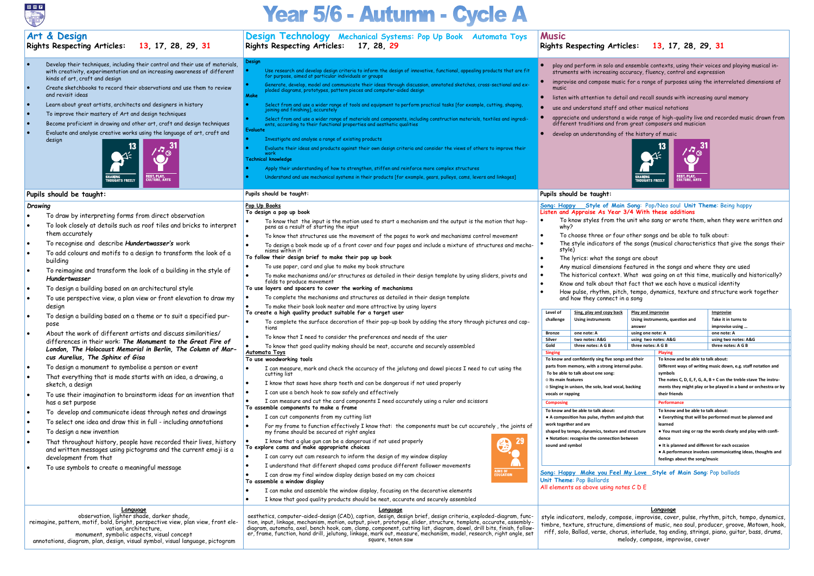

## Year 5/6 - Autumn - Cycle A

## **Art & Design Design Technology Mechanical Systems: Pop Up Book Automata Toys Music Rights Respecting Articles: 13, 17, 28, 29, 31 Rights Respecting Articles: 13, 17, 28, 29, 31 Rights Respecting Articles: 17, 28, 29 Design** • Develop their techniques, including their control and their use of materials, • play and perform in solo and ensemble contexts, using their voices and playing musical in-• Use research and develop design criteria to inform the design of innovative, functional, appealing products that are fit for purpose, aimed at particular individuals or groups with creativity, experimentation and an increasing awareness of different struments with increasing accuracy, fluency, control and expression kinds of art, craft and design • improvise and compose music for a range of purposes using the interrelated dimensions of • Generate, develop, model and communicate their ideas through discussion, annotated sketches, cross-sectional and ex-ploded diagrams, prototypes, pattern pieces and computer-aided design • Create sketchbooks to record their observations and use them to review music and revisit ideas **Make** listen with attention to detail and recall sounds with increasing aural memory • Learn about great artists, architects and designers in history • Select from and use a wider range of tools and equipment to perform practical tasks [for example, cutting, shaping, joining and finishing], accurately use and understand staff and other musical notations • To improve their mastery of Art and design techniques • appreciate and understand a wide range of high-quality live and recorded music drawn from • Select from and use a wider range of materials and components, including construction materials, textiles and ingredi-ents, according to their functional properties and aesthetic qualities • Become proficient in drawing and other art, craft and design techniques different traditions and from great composers and musician **Evaluate**  • Evaluate and analyse creative works using the language of art, craft and develop an understanding of the history of music design • Investigate and analyse a range of existing products • Evaluate their ideas and products against their own design criteria and consider the views of others to improve their work **Technical knowledge** • Apply their understanding of how to strengthen, stiffen and reinforce more complex structures **ST, PLAY,<br>UTUDE AD** • Understand and use mechanical systems in their products [for example, gears, pulleys, cams, levers and linkages] **Pupils should be taught: Pupils should be taught: Pupils should be taught: Pop Up Books** *Drawing* **Song: Happy Style of Main Song**: Pop/Neo soul **Unit Theme**: Being happy **To design a pop up book Listen and Appraise As Year 3/4 With these additions** • To draw by interpreting forms from direct observation • To know that the input is the motion used to start a mechanism and the output is the motion that hap-• To know styles from the unit who sang or wrote them, when they were written and • To look closely at details such as roof tiles and bricks to interpret pens as a result of starting the input why? them accurately • To choose three or four other songs and be able to talk about: • To know that structures use the movement of the pages to work and mechanisms control movement • To recognise and describe *Hundertwasser's* work The style indicators of the songs (musical characteristics that give the songs their • To design a book made up of a front cover and four pages and include a mixture of structures and mechastyle) nisms within it • To add colours and motifs to a design to transform the look of a **To follow their design brief to make their pop up book** The lyrics: what the songs are about building • To use paper, card and glue to make my book structure • Any musical dimensions featured in the songs and where they are used • To reimagine and transform the look of a building in the style of • The historical context. What was going on at this time, musically and historically? • To make mechanisms and/or structures as detailed in their design template by using sliders, pivots and *Hundertwasser* folds to produce movement • Know and talk about that fact that we each have a musical identity • To design a building based on an architectural style **To use layers and spacers to cover the working of mechanisms** • How pulse, rhythm, pitch, tempo, dynamics, texture and structure work together • To use perspective view, a plan view or front elevation to draw my • To complete the mechanisms and structures as detailed in their design template and how they connect in a song • To make their book look neater and more attractive by using layers desian **To create a high quality product suitable for a target user Level of Sing, play and copy b Play and improvise Improvise** • To design a building based on a theme or to suit a specified pur-**Using instruments challenge Using instruments, question and Take it in turns to** • To complete the surface decoration of their pop-up book by adding the story through pictures and cappose tions **answer improvise using …** • About the work of different artists and discuss similarities/ **Bronze one note: A using one note: A one note: A** • To know that I need to consider the preferences and needs of the user **Silver two notes: A&G using two notes: A&G using two notes: A&G** differences in their work: *The Monument to the Great Fire of*  • To know that good quality making should be neat, accurate and securely assembled **Gold three notes: A G B three notes: A G B three notes: A G B** *London, The Holocaust Memorial in Berlin, The Column of Mar-***Automata Toys Singing** *cus Aurelius, The Sphinx of Gisa* **To use woodworking tools** To know and confidently sing five **To know and be able to talk about:** parts from memory, with a strong • To design a monument to symbolise a person or event • I can measure, mark and check the accuracy of the jelutong and dowel pieces I need to cut using the **To be able to talk about one song:** cutting list **symbols** • That everything that is made starts with an idea, a drawing, a **○ Its main features** • I know that saws have sharp teeth and can be dangerous if not used properly sketch, a design  $\circ$  Singing in unison, the solo, lead **v** I can use a bench hook to saw safely and effectively **vocals or rapping** • To use their imagination to brainstorm ideas for an invention that **their friends** • I can measure and cut the card components I need accurately using a ruler and scissors has a set purpose **Composing To assemble components to make a frame To know and be able to talk about: To know and be able to talk about:** • To develop and communicate ideas through notes and drawings I can cut components from my cutting list **• A composition has pulse, rhythm** • To select one idea and draw this in full - including annotations **work together and are** • For my frame to function effectively I know that: the components must be cut accurately , the joints of **learned** • To design a new invention my frame should be secured at right angles shaped by tempo, dynamics, texture **• Notation: recognise the connect dence** That throughout history, people have recorded their lives, history I know that a glue gun can be a dangerous if not used properly **sound and symbol To explore cams and make appropriate choices ● It is planned and different for each occasion** and written messages using pictograms and the current emoji is a I can carry out cam research to inform the design of my window display development from that **feelings about the song/music**• I understand that different shaped cams produce different follower movements • To use symbols to create a meaningful message **Song: Happy Make you Feel My Love Style of Main Song**: Pop ballads I can draw my final window display design based on my cam choices **Unit Theme**: Pop Ballards **To assemble a window display** All elements as above using notes C D E I can make and assemble the window display, focusing on the decorative elements I know that good quality products should be neat, accurate and securely assembled **Language Language Language** observation, lighter shade, darker shade, aesthetics, computer-aided-design (CAD), caption, design, design brief, design criteria, exploded-diagram, funcstyle indicators, melody, compose, improvise, cover, pulse, rhythm, pitch, tempo, dynamics, reimagine, pattern, motif, bold, bright, perspective view, plan view, front eletion, input, linkage, mechanism, motion, output, pivot, prototype, slider, structure, template, accurate, assemblytimbre, texture, structure, dimensions of music, neo soul, producer, groove, Motown, hook, diagram, automata, axel, bench hook, cam, clamp, component, cutting list, diagram, dowel, drill bits, finish, followvation, architecture, riff, solo, Ballad, verse, chorus, interlude, tag ending, strings, piano, guitar, bass, drums, er, frame, function, hand drill, jelutong, linkage, mark out, measure, mechanism, model, research, right angle, set

square, tenon saw

melody, compose, improvise, cover

monument, symbolic aspects, visual concept annotations, diagram, plan, design, visual symbol, visual language, pictogram

- 
- 
- 
- 



- 
- 
- 
- 
- 

| back               | Play and improvise   |                                                                   | Improvise                                       |  |  |  |  |
|--------------------|----------------------|-------------------------------------------------------------------|-------------------------------------------------|--|--|--|--|
|                    |                      | Using instruments, question and                                   | Take it in turns to                             |  |  |  |  |
|                    | answer               |                                                                   | improvise using                                 |  |  |  |  |
|                    | using one note: A    |                                                                   | one note: A                                     |  |  |  |  |
|                    | using two notes: A&G |                                                                   | using two notes: A&G                            |  |  |  |  |
|                    | three notes: A G B   |                                                                   | three notes: A G B                              |  |  |  |  |
|                    |                      | <b>Playing</b>                                                    |                                                 |  |  |  |  |
|                    | ongs and their       | To know and be able to talk about:                                |                                                 |  |  |  |  |
|                    | internal pulse.      | Different ways of writing music down, e.g. staff notation and     |                                                 |  |  |  |  |
|                    |                      | symbols                                                           |                                                 |  |  |  |  |
|                    |                      | The notes C, D, E, F, G, A, B + C on the treble stave The instru- |                                                 |  |  |  |  |
|                    | ocal, backing        | ments they might play or be played in a band or orchestra or by   |                                                 |  |  |  |  |
|                    |                      | their friends                                                     |                                                 |  |  |  |  |
|                    |                      |                                                                   |                                                 |  |  |  |  |
| <b>Performance</b> |                      |                                                                   |                                                 |  |  |  |  |
|                    |                      | To know and be able to talk about:                                |                                                 |  |  |  |  |
|                    | and pitch that       | • Everything that will be performed must be planned and           |                                                 |  |  |  |  |
|                    |                      | learned                                                           |                                                 |  |  |  |  |
|                    | re and structure     | • You must sing or rap the words clearly and play with confi-     |                                                 |  |  |  |  |
| on between         |                      | dence                                                             |                                                 |  |  |  |  |
|                    |                      |                                                                   | • It is planned and different for each occasion |  |  |  |  |
|                    |                      | • A performance involves communicating ideas, thoughts and        |                                                 |  |  |  |  |
|                    |                      | feelings about the song/music                                     |                                                 |  |  |  |  |
|                    |                      |                                                                   |                                                 |  |  |  |  |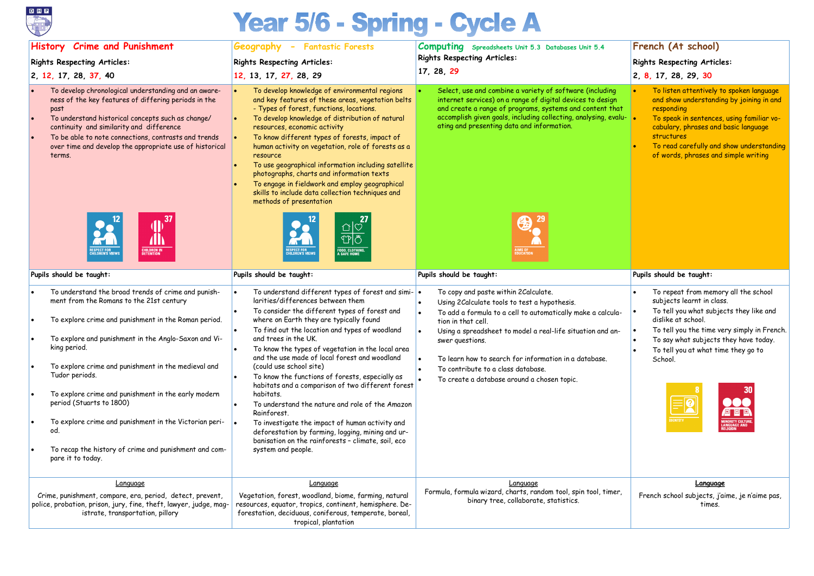

# Year 5/6 - Spring - Cycle A

## **History Crime and Punishment**

## **Rights Respecting Articles:**

**2, 12, 17, 28, 37, 40** 

## **Geography - Fantastic Forests**

## **Rights Respecting Articles:**

## **12, 13, 17, 27, 28, 29**

## **Computing Spreadsheets Unit 5.3 Databases Unit 5.4 Rights Respecting Articles:**

**17, 28, 29**

- To develop chronological understanding and an awareness of the key features of differing periods in the past
- To understand historical concepts such as change/ continuity and similarity and difference
- To be able to note connections, contrasts and trends over time and develop the appropriate use of historical terms.



Select, use and combine a variety of software (including internet services) on a range of digital devices to desig and create a range of programs, systems and content that accomplish given goals, including collecting, analysing, evaluation ating and presenting data and information.



- To develop knowledge of environmental regions and key features of these areas, vegetation belts - Types of forest, functions, locations.
- To develop knowledge of distribution of natural resources, economic activity
- To know different types of forests, impact of human activity on vegetation, role of forests as a resource
- To use geographical information including satellite photographs, charts and information texts • To engage in fieldwork and employ geographical
- skills to include data collection techniques and methods of presentation



|                       | French (At school)<br><b>Rights Respecting Articles:</b><br>2, 8, 17, 28, 29, 30                                                                                                                                                                                                                       |
|-----------------------|--------------------------------------------------------------------------------------------------------------------------------------------------------------------------------------------------------------------------------------------------------------------------------------------------------|
| J<br>h<br>1at<br>alu- | To listen attentively to spoken language<br>$\bullet$<br>and show understanding by joining in and<br>responding<br>To speak in sentences, using familiar vo-<br>cabulary, phrases and basic language<br>structures<br>To read carefully and show understanding<br>of words, phrases and simple writing |
|                       | Pupils should be taught:                                                                                                                                                                                                                                                                               |
| la-<br>n-             | To repeat from memory all the school<br>$\bullet$<br>subjects learnt in class.<br>To tell you what subjects they like and<br>dislike at school.<br>To tell you the time very simply in French.<br>To say what subjects they have today.<br>To tell you at what time they go to<br>School.              |
|                       | 30<br><b>IDENTITY</b><br><b>INORITY CULTURE,</b><br><b>ANGUAGE AND</b><br>ELIGION                                                                                                                                                                                                                      |
|                       | <b>Language</b>                                                                                                                                                                                                                                                                                        |
| гr,                   | French school subjects, j'aime, je n'aime pas,<br>times.                                                                                                                                                                                                                                               |

| Pupils should be taught:                                                                                                                                                                                                                                                                                                                                                                                                                                                                                                                   | Pupils should be taught:                                                                                                                                                                                                                                                                                                                                                                                                                                                                                                                                                                                                                                                                                                                                                   | Pupils should be taught:                                                                                                                                                                                                                                                                                                                                                                                  | Pupils should be taught:                                                                                                                                            |  |  |
|--------------------------------------------------------------------------------------------------------------------------------------------------------------------------------------------------------------------------------------------------------------------------------------------------------------------------------------------------------------------------------------------------------------------------------------------------------------------------------------------------------------------------------------------|----------------------------------------------------------------------------------------------------------------------------------------------------------------------------------------------------------------------------------------------------------------------------------------------------------------------------------------------------------------------------------------------------------------------------------------------------------------------------------------------------------------------------------------------------------------------------------------------------------------------------------------------------------------------------------------------------------------------------------------------------------------------------|-----------------------------------------------------------------------------------------------------------------------------------------------------------------------------------------------------------------------------------------------------------------------------------------------------------------------------------------------------------------------------------------------------------|---------------------------------------------------------------------------------------------------------------------------------------------------------------------|--|--|
| To understand the broad trends of crime and punish-<br>ment from the Romans to the 21st century<br>To explore crime and punishment in the Roman period.<br>To explore and punishment in the Anglo-Saxon and Vi-<br>king period.<br>To explore crime and punishment in the medieval and<br>Tudor periods.<br>To explore crime and punishment in the early modern<br>period (Stuarts to 1800)<br>To explore crime and punishment in the Victorian peri-<br>od.<br>To recap the history of crime and punishment and com-<br>pare it to today. | To understand different types of forest and simi- .<br>larities/differences between them<br>To consider the different types of forest and<br>where on Earth they are typically found<br>To find out the location and types of woodland<br>and trees in the UK.<br>To know the types of vegetation in the local area<br>and the use made of local forest and woodland<br>(could use school site)<br>To know the functions of forests, especially as<br>habitats and a comparison of two different forest<br>habitats.<br>To understand the nature and role of the Amazon<br>Rainforest.<br>To investigate the impact of human activity and<br>deforestation by farming, logging, mining and ur-<br>banisation on the rainforests - climate, soil, eco<br>system and people. | To copy and paste within 2 Calculate.<br>Using 2Calculate tools to test a hypothesis.<br>To add a formula to a cell to automatically make a calcula-<br>tion in that cell.<br>Using a spreadsheet to model a real-life situation and an-<br>swer questions.<br>To learn how to search for information in a database.<br>To contribute to a class database.<br>To create a database around a chosen topic. | To repeat from me<br>subjects learnt in<br>To tell you what su<br>dislike at school.<br>To tell you the tim<br>To say what subjed<br>To tell you at what<br>School. |  |  |
| Language<br>Crime, punishment, compare, era, period, detect, prevent,<br>police, probation, prison, jury, fine, theft, lawyer, judge, mag-<br>istrate, transportation, pillory                                                                                                                                                                                                                                                                                                                                                             | Language<br>Vegetation, forest, woodland, biome, farming, natural<br>resources, equator, tropics, continent, hemisphere. De-<br>forestation, deciduous, coniferous, temperate, boreal,<br>tropical, plantation                                                                                                                                                                                                                                                                                                                                                                                                                                                                                                                                                             | Language<br>Formula, formula wizard, charts, random tool, spin tool, timer,<br>binary tree, collaborate, statistics.                                                                                                                                                                                                                                                                                      | <b>Langu</b><br>French school subjects<br>tim                                                                                                                       |  |  |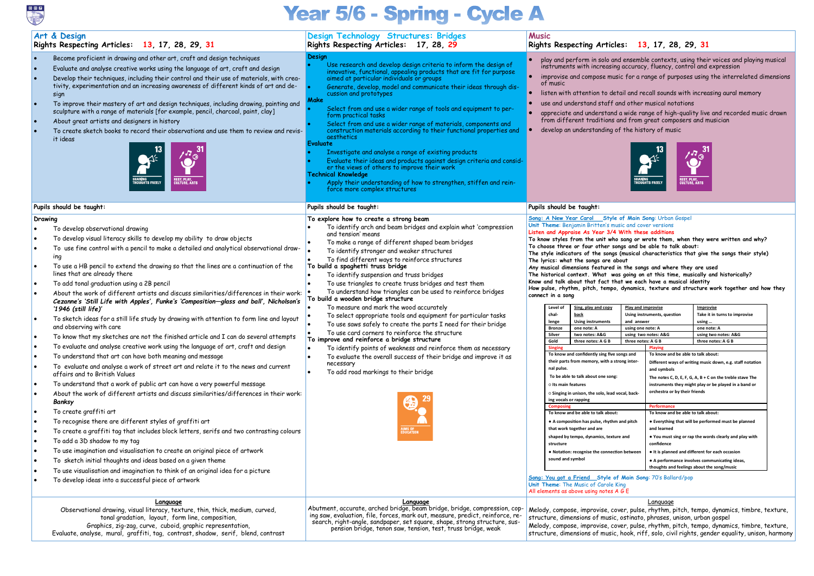## Year 5/6 - Spring - Cycle A

|                     | Art & Design<br>Rights Respecting Articles: 13, 17, 28, 29, 31                                                                                                                                                                                                                                                                                                                                                                                                                                                                                                                                                                                                                                                                                                                                                                                                                                                                                                                                                                                                                                                                                                                                                                                                                                                                                                                                                                                                                                                                                                                                                                                                                                                                                                                   | Design Technology Structures: Bridges<br>Rights Respecting Articles: 17, 28, 29                                                                                                                                                                                                                                                                                                                                                                                                                                                                                                                                                                                                                                                                                                                                                                                                                                                                                                                                                          | <b>Music</b> |                                                                                                                                                                                                                                                                                                                                                                                                                                                                                                                                                                                                                                                                                                                                                                                                                                                                                                                                                                                                                                                                                                                                                                                                                                                                               | Rights Respecting Articles: 13, 17, 28, 29, 31                          |            |                                                                                                                                                                                                                                                                                                                                                                                                                                                                                                                                                                                                                                                                                                                                                                                                                                                                                                                                                                                                                                                                                                                                                                                                                                                                                                                                  |                                                                                                                                                                                                                                                                                              |  |
|---------------------|----------------------------------------------------------------------------------------------------------------------------------------------------------------------------------------------------------------------------------------------------------------------------------------------------------------------------------------------------------------------------------------------------------------------------------------------------------------------------------------------------------------------------------------------------------------------------------------------------------------------------------------------------------------------------------------------------------------------------------------------------------------------------------------------------------------------------------------------------------------------------------------------------------------------------------------------------------------------------------------------------------------------------------------------------------------------------------------------------------------------------------------------------------------------------------------------------------------------------------------------------------------------------------------------------------------------------------------------------------------------------------------------------------------------------------------------------------------------------------------------------------------------------------------------------------------------------------------------------------------------------------------------------------------------------------------------------------------------------------------------------------------------------------|------------------------------------------------------------------------------------------------------------------------------------------------------------------------------------------------------------------------------------------------------------------------------------------------------------------------------------------------------------------------------------------------------------------------------------------------------------------------------------------------------------------------------------------------------------------------------------------------------------------------------------------------------------------------------------------------------------------------------------------------------------------------------------------------------------------------------------------------------------------------------------------------------------------------------------------------------------------------------------------------------------------------------------------|--------------|-------------------------------------------------------------------------------------------------------------------------------------------------------------------------------------------------------------------------------------------------------------------------------------------------------------------------------------------------------------------------------------------------------------------------------------------------------------------------------------------------------------------------------------------------------------------------------------------------------------------------------------------------------------------------------------------------------------------------------------------------------------------------------------------------------------------------------------------------------------------------------------------------------------------------------------------------------------------------------------------------------------------------------------------------------------------------------------------------------------------------------------------------------------------------------------------------------------------------------------------------------------------------------|-------------------------------------------------------------------------|------------|----------------------------------------------------------------------------------------------------------------------------------------------------------------------------------------------------------------------------------------------------------------------------------------------------------------------------------------------------------------------------------------------------------------------------------------------------------------------------------------------------------------------------------------------------------------------------------------------------------------------------------------------------------------------------------------------------------------------------------------------------------------------------------------------------------------------------------------------------------------------------------------------------------------------------------------------------------------------------------------------------------------------------------------------------------------------------------------------------------------------------------------------------------------------------------------------------------------------------------------------------------------------------------------------------------------------------------|----------------------------------------------------------------------------------------------------------------------------------------------------------------------------------------------------------------------------------------------------------------------------------------------|--|
| ∣•                  | Become proficient in drawing and other art, craft and design techniques<br>Evaluate and analyse creative works using the language of art, craft and design<br>Develop their techniques, including their control and their use of materials, with crea-<br>tivity, experimentation and an increasing awareness of different kinds of art and de-<br>sign<br>To improve their mastery of art and design techniques, including drawing, painting and<br>sculpture with a range of materials [for example, pencil, charcoal, paint, clay]<br>About great artists and designers in history<br>To create sketch books to record their observations and use them to review and revis-<br>it ideas<br><b>REST, PLAY,<br/>CULTURE, ARTS</b>                                                                                                                                                                                                                                                                                                                                                                                                                                                                                                                                                                                                                                                                                                                                                                                                                                                                                                                                                                                                                                               | Design<br>Use research and develop design criteria to inform the design of<br>innovative, functional, appealing products that are fit for purpose<br>aimed at particular individuals or groups<br>Generate, develop, model and communicate their ideas through dis-<br>cussion and prototypes<br>Make<br>Select from and use a wider range of tools and equipment to per-<br>form practical tasks<br>Select from and use a wider range of materials, components and<br>construction materials according to their functional properties and<br>aesthetics<br>Evaluate<br>Investigate and analyse a range of existing products<br>Evaluate their ideas and products against design criteria and consid-<br>er the views of others to improve their work<br><b>Technical Knowledge</b><br>Apply their understanding of how to strengthen, stiffen and rein-<br>force more complex structures                                                                                                                                                |              | play and perform in solo and ensemble contexts, using their voices and playing musical<br>instruments with increasing accuracy, fluency, control and expression<br>improvise and compose music for a range of purposes using the interrelated dimensions<br>of music<br>listen with attention to detail and recall sounds with increasing aural memory<br>use and understand staff and other musical notations<br>appreciate and understand a wide range of high-quality live and recorded music drawn<br>from different traditions and from great composers and musician<br>develop an understanding of the history of music<br><b>REST, PLAY,<br/>CULTURE, ARTS</b>                                                                                                                                                                                                                                                                                                                                                                                                                                                                                                                                                                                                         |                                                                         |            |                                                                                                                                                                                                                                                                                                                                                                                                                                                                                                                                                                                                                                                                                                                                                                                                                                                                                                                                                                                                                                                                                                                                                                                                                                                                                                                                  |                                                                                                                                                                                                                                                                                              |  |
|                     | Pupils should be taught:                                                                                                                                                                                                                                                                                                                                                                                                                                                                                                                                                                                                                                                                                                                                                                                                                                                                                                                                                                                                                                                                                                                                                                                                                                                                                                                                                                                                                                                                                                                                                                                                                                                                                                                                                         | Pupils should be taught:                                                                                                                                                                                                                                                                                                                                                                                                                                                                                                                                                                                                                                                                                                                                                                                                                                                                                                                                                                                                                 |              |                                                                                                                                                                                                                                                                                                                                                                                                                                                                                                                                                                                                                                                                                                                                                                                                                                                                                                                                                                                                                                                                                                                                                                                                                                                                               | Pupils should be taught:                                                |            |                                                                                                                                                                                                                                                                                                                                                                                                                                                                                                                                                                                                                                                                                                                                                                                                                                                                                                                                                                                                                                                                                                                                                                                                                                                                                                                                  |                                                                                                                                                                                                                                                                                              |  |
| Drawing<br>∣•<br>∣• | To develop observational drawing<br>To develop visual literacy skills to develop my ability to draw objects<br>To use fine control with a pencil to make a detailed and analytical observational draw-<br>ing<br>To use a HB pencil to extend the drawing so that the lines are a continuation of the<br>lines that are already there<br>To add tonal graduation using a 2B pencil<br>About the work of different artists and discuss similarities/differences in their work:<br>Cezanne's 'Still Life with Apples', Funke's 'Composition-glass and ball', Nicholson's<br>'1946 (still life) $'$<br>To sketch ideas for a still life study by drawing with attention to form line and layout<br>and observing with care<br>To know that my sketches are not the finished article and I can do several attempts<br>To evaluate and analyse creative work using the language of art, craft and design<br>To understand that art can have both meaning and message<br>To evaluate and analyse a work of street art and relate it to the news and current<br>affairs and to British Values<br>To understand that a work of public art can have a very powerful message<br>About the work of different artists and discuss similarities/differences in their work:<br>Banksy<br>To create graffiti art<br>To recognise there are different styles of graffiti art<br>To create a graffiti tag that includes block letters, serifs and two contrasting colours<br>To add a 3D shadow to my tag<br>To use imagination and visualisation to create an original piece of artwork<br>To sketch initial thoughts and ideas based on a given theme<br>To use visualisation and imagination to think of an original idea for a picture<br>To develop ideas into a successful piece of artwork | To explore how to create a strong beam<br>To identify arch and beam bridges and explain what 'compression<br>and tension' means<br>To make a range of different shaped beam bridges<br>To identify stronger and weaker structures<br>To find different ways to reinforce structures<br>To build a spaghetti truss bridge<br>To identify suspension and truss bridges<br>To use triangles to create truss bridges and test them<br>To understand how triangles can be used to reinforce bridges<br>To build a wooden bridge structure<br>To measure and mark the wood accurately<br>To select appropriate tools and equipment for particular tasks<br>To use saws safely to create the parts I need for their bridge<br>To use card corners to reinforce the structure<br>To improve and reinforce a bridge structure<br>To identify points of weakness and reinforce them as necessary<br>To evaluate the overall success of their bridge and improve it as<br>necessary<br>To add road markings to their bridge<br>AIMS OF<br>Education |              | Unit Theme: Benjamin Britten's music and cover versions<br>Listen and Appraise As Year 3/4 With these additions<br>To choose three or four other songs and be able to talk about:<br>The lyrics: what the songs are about<br>Any musical dimensions featured in the songs and where they are used<br>Know and talk about that fact that we each have a musical identity<br>connect in a song<br>Sing, play and copy<br>Level of<br>chal-<br><b>back</b><br>lenge<br><b>Using instruments</b><br>one note: A<br><b>Bronze</b><br>Silver<br>two notes: A&G<br>Gold<br>three notes: A G B<br><b>Singing</b><br>To know and confidently sing five songs and<br>their parts from memory, with a strong inter-<br>nal pulse.<br>To be able to talk about one song:<br>o Its main features<br>O Singing in unison, the solo, lead vocal, back-<br>ing vocals or rapping<br>Composing<br>To know and be able to talk about:<br>• A composition has pulse, rhythm and pitch<br>that work together and are<br>shaped by tempo, dynamics, texture and<br>structure<br>. Notation: recognise the connection between<br>sound and symbol<br>Song: You got a Friend Style of Main Song: 70's Ballard/pop<br>Unit Theme: The Music of Carole King<br>All elements as above using notes A G E |                                                                         | and answer | Song: A New Year Carol Style of Main Song: Urban Gospel<br>To know styles from the unit who sang or wrote them, when they were written and why?<br>The style indicators of the songs (musical characteristics that give the songs their style)<br>The historical context. What was going on at this time, musically and historically?<br>How pulse, rhythm, pitch, tempo, dynamics, texture and structure work together and how they<br>Play and improvise<br>Improvise<br>Using instruments, question<br>Take it in turns to improvise<br>using<br>using one note: A<br>one note: A<br>using two notes: A&G<br>using two notes: A&G<br>three notes: A G B<br>three notes: A G B<br>Playing<br>To know and be able to talk about:<br>Different ways of writing music down, e.g. staff notation<br>and symbols<br>The notes C, D, E, F, G, A, B + C on the treble stave The<br>instruments they might play or be played in a band or<br>orchestra or by their friends<br><b>Performance</b><br>To know and be able to talk about:<br>• Everything that will be performed must be planned<br>and learned<br>. You must sing or rap the words clearly and play with<br>confidence<br>• It is planned and different for each occasion<br>• A performance involves communicating ideas,<br>thoughts and feelings about the song/music |                                                                                                                                                                                                                                                                                              |  |
|                     | <u>Language</u><br>Observational drawing, visual literacy, texture, thin, thick, medium, curved,<br>tonal gradation, layout, form line, composition,<br>Graphics, zig-zag, curve, cuboid, graphic representation,<br>Evaluate, analyse, mural, graffiti, tag, contrast, shadow, serif, blend, contrast                                                                                                                                                                                                                                                                                                                                                                                                                                                                                                                                                                                                                                                                                                                                                                                                                                                                                                                                                                                                                                                                                                                                                                                                                                                                                                                                                                                                                                                                           | <u>Language</u><br>Abutment, accurate, arched bridge, beam bridge, bridge, compression, cop-<br>ing saw, evaluation, file, forces, mark out, measure, predict, reinforce, re-<br>search, right-angle, sandpaper, set square, shape, strong structure, sus-<br>pension bridge, tenon saw, tension, test, truss bridge, weak                                                                                                                                                                                                                                                                                                                                                                                                                                                                                                                                                                                                                                                                                                               |              |                                                                                                                                                                                                                                                                                                                                                                                                                                                                                                                                                                                                                                                                                                                                                                                                                                                                                                                                                                                                                                                                                                                                                                                                                                                                               | structure, dimensions of music, ostinato, phrases, unison, urban gospel |            | <u>Language</u>                                                                                                                                                                                                                                                                                                                                                                                                                                                                                                                                                                                                                                                                                                                                                                                                                                                                                                                                                                                                                                                                                                                                                                                                                                                                                                                  | Melody, compose, improvise, cover, pulse, rhythm, pitch, tempo, dynamics, timbre, texture,<br>Melody, compose, improvise, cover, pulse, rhythm, pitch, tempo, dynamics, timbre, texture,<br>structure, dimensions of music, hook, riff, solo, civil rights, gender equality, unison, harmony |  |



- 
- 
- 



- 
- 
- 
- 
- 
-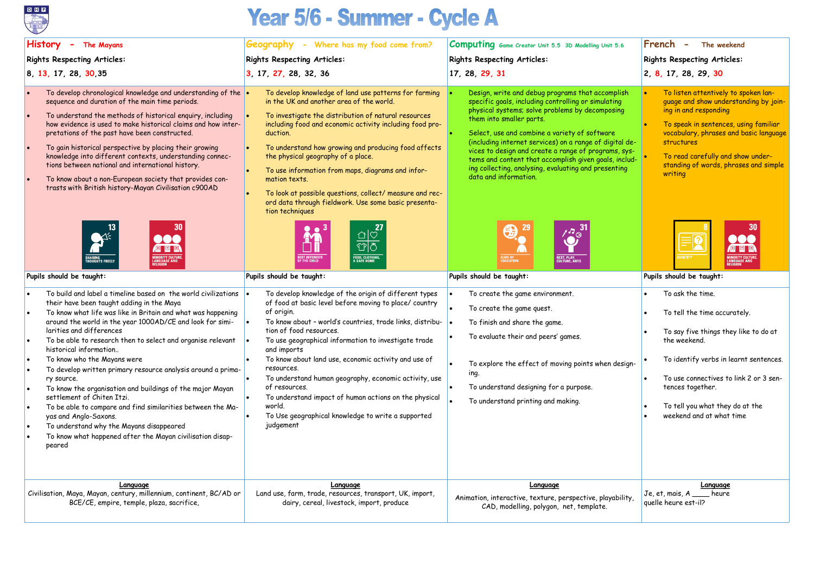

## Year 5/6 - Summer - Cycle A

| <b>History</b><br>- The Mayans                                                                                                                                                                                                                                                                                                                                                                                                                                                                                                                                                                                                                                                                                                                                                                                                                                                                                                                                                                                                                                                                                                                                                                                                                                                                                                                                                                                                                                                                                                                                                                                                                                                                                                                                                                                                                                | Geography - Where has my food come from?                                                                                                                                                                                                                                                                                                                                                                                                                                                                                                                                                                                                                                                                                                                                                                                                                                                                                                                                                                                                                                                                                                                                                                                                                                                                 | <b>Computing</b> Game Creator Unit 5.5 3D Modelling Unit 5.6                                                                                                                                                                                                                                                                                                                                                                                                                                                                                                                                                                                                                                                                                                                                                                                                                                                             | French<br>The weekend<br>$\overline{\phantom{0}}$                                                                                                                                                                                                                                                                                                                                                                                                                                                                                                                                                                                                               |  |  |
|---------------------------------------------------------------------------------------------------------------------------------------------------------------------------------------------------------------------------------------------------------------------------------------------------------------------------------------------------------------------------------------------------------------------------------------------------------------------------------------------------------------------------------------------------------------------------------------------------------------------------------------------------------------------------------------------------------------------------------------------------------------------------------------------------------------------------------------------------------------------------------------------------------------------------------------------------------------------------------------------------------------------------------------------------------------------------------------------------------------------------------------------------------------------------------------------------------------------------------------------------------------------------------------------------------------------------------------------------------------------------------------------------------------------------------------------------------------------------------------------------------------------------------------------------------------------------------------------------------------------------------------------------------------------------------------------------------------------------------------------------------------------------------------------------------------------------------------------------------------|----------------------------------------------------------------------------------------------------------------------------------------------------------------------------------------------------------------------------------------------------------------------------------------------------------------------------------------------------------------------------------------------------------------------------------------------------------------------------------------------------------------------------------------------------------------------------------------------------------------------------------------------------------------------------------------------------------------------------------------------------------------------------------------------------------------------------------------------------------------------------------------------------------------------------------------------------------------------------------------------------------------------------------------------------------------------------------------------------------------------------------------------------------------------------------------------------------------------------------------------------------------------------------------------------------|--------------------------------------------------------------------------------------------------------------------------------------------------------------------------------------------------------------------------------------------------------------------------------------------------------------------------------------------------------------------------------------------------------------------------------------------------------------------------------------------------------------------------------------------------------------------------------------------------------------------------------------------------------------------------------------------------------------------------------------------------------------------------------------------------------------------------------------------------------------------------------------------------------------------------|-----------------------------------------------------------------------------------------------------------------------------------------------------------------------------------------------------------------------------------------------------------------------------------------------------------------------------------------------------------------------------------------------------------------------------------------------------------------------------------------------------------------------------------------------------------------------------------------------------------------------------------------------------------------|--|--|
| <b>Rights Respecting Articles:</b>                                                                                                                                                                                                                                                                                                                                                                                                                                                                                                                                                                                                                                                                                                                                                                                                                                                                                                                                                                                                                                                                                                                                                                                                                                                                                                                                                                                                                                                                                                                                                                                                                                                                                                                                                                                                                            | <b>Rights Respecting Articles:</b>                                                                                                                                                                                                                                                                                                                                                                                                                                                                                                                                                                                                                                                                                                                                                                                                                                                                                                                                                                                                                                                                                                                                                                                                                                                                       | <b>Rights Respecting Articles:</b>                                                                                                                                                                                                                                                                                                                                                                                                                                                                                                                                                                                                                                                                                                                                                                                                                                                                                       | <b>Rights Respecting Articles:</b>                                                                                                                                                                                                                                                                                                                                                                                                                                                                                                                                                                                                                              |  |  |
| 8, 13, 17, 28, 30, 35                                                                                                                                                                                                                                                                                                                                                                                                                                                                                                                                                                                                                                                                                                                                                                                                                                                                                                                                                                                                                                                                                                                                                                                                                                                                                                                                                                                                                                                                                                                                                                                                                                                                                                                                                                                                                                         | 3, 17, 27, 28, 32, 36                                                                                                                                                                                                                                                                                                                                                                                                                                                                                                                                                                                                                                                                                                                                                                                                                                                                                                                                                                                                                                                                                                                                                                                                                                                                                    | 17, 28, 29, 31                                                                                                                                                                                                                                                                                                                                                                                                                                                                                                                                                                                                                                                                                                                                                                                                                                                                                                           | 2, 8, 17, 28, 29, 30                                                                                                                                                                                                                                                                                                                                                                                                                                                                                                                                                                                                                                            |  |  |
| To develop chronological knowledge and understanding of the $\vert \bullet \vert$<br>sequence and duration of the main time periods.<br>To understand the methods of historical enquiry, including<br>how evidence is used to make historical claims and how inter-<br>pretations of the past have been constructed.<br>To gain historical perspective by placing their growing<br>knowledge into different contexts, understanding connec-<br>tions between national and international history.<br>To know about a non-European society that provides con-<br>trasts with British history-Mayan Civilisation c900AD<br>$\begin{picture}(20,20) \put(0,0){\line(1,0){15}} \put(15,0){\line(1,0){15}} \put(15,0){\line(1,0){15}} \put(15,0){\line(1,0){15}} \put(15,0){\line(1,0){15}} \put(15,0){\line(1,0){15}} \put(15,0){\line(1,0){15}} \put(15,0){\line(1,0){15}} \put(15,0){\line(1,0){15}} \put(15,0){\line(1,0){15}} \put(15,0){\line(1,0){15}} \put(15,0){\line(1$<br><b>MINORITY CULTUR<br/>LANGUAGE AND<br/>RELIGION</b><br>Pupils should be taught:<br>To build and label a timeline based on the world civilizations<br>their have been taught adding in the Maya<br>To know what life was like in Britain and what was happening<br>around the world in the year 1000AD/CE and look for simi-<br>larities and differences<br>To be able to research then to select and organise relevant $\bullet$<br>historical information<br>To know who the Mayans were<br>To develop written primary resource analysis around a prima-<br>ry source.<br>To know the organisation and buildings of the major Mayan<br>settlement of Chiten Itzi.<br>To be able to compare and find similarities between the Ma-<br>yas and Anglo-Saxons.<br>To understand why the Mayans disappeared<br>To know what happened after the Mayan civilisation disap-<br>peared | To develop knowledge of land use patterns for farming<br>in the UK and another area of the world.<br>To investigate the distribution of natural resources<br>including food and economic activity including food pro-<br>duction.<br>To understand how growing and producing food affects<br>the physical geography of a place.<br>To use information from maps, diagrams and infor-<br>mation texts.<br>To look at possible questions, collect/ measure and rec-<br>ord data through fieldwork. Use some basic presenta-<br>tion techniques<br>$\frac{\Delta}{\Box \overline{\Diamond}}$<br><b>FOOD, CLOTHING,<br/>A SAFE HOME</b><br><b>BEST INTERESTS</b><br>OF THE CHILD<br>Pupils should be taught:<br>To develop knowledge of the origin of different types<br>of food at basic level before moving to place/ country<br>of origin.<br>To know about - world's countries, trade links, distribu- $\bullet$<br>tion of food resources.<br>To use geographical information to investigate trade<br>and imports<br>To know about land use, economic activity and use of<br>resources.<br>To understand human geography, economic activity, use<br>of resources.<br>To understand impact of human actions on the physical<br>world.<br>To Use geographical knowledge to write a supported<br>judgement | Design, write and debug programs that accomplish<br>specific goals, including controlling or simulating<br>physical systems; solve problems by decomposing<br>them into smaller parts.<br>Select, use and combine a variety of software<br>(including internet services) on a range of digital de-<br>vices to design and create a range of programs, sys-<br>tems and content that accomplish given goals, includ-<br>ing collecting, analysing, evaluating and presenting<br>data and information.<br>$\sum_{i=1}^{n}$<br>5<br><b>REST, PLAY,<br/>CULTURE, ARTS</b><br><b>AIMS OF<br/>EDUCATION</b><br>Pupils should be taught:<br>To create the game environment.<br>To create the game quest.<br>To finish and share the game.<br>To evaluate their and peers' games.<br>To explore the effect of moving points when design-<br>ing.<br>To understand designing for a purpose.<br>To understand printing and making. | To listen attentively to spoken lan-<br>quage and show understanding by join-<br>ing in and responding<br>To speak in sentences, using familiar<br>vocabulary, phrases and basic language<br>structures<br>To read carefully and show under-<br>standing of words, phrases and simple<br>writing<br>MINORITY CULTUR<br>LANGUAGE AND<br>RELIGION<br>Pupils should be taught:<br>To ask the time.<br>To tell the time accurately.<br>To say five things they like to do at<br>the weekend.<br>To identify verbs in learnt sentences.<br>To use connectives to link 2 or 3 sen-<br>tences together.<br>To tell you what they do at the<br>weekend and at what time |  |  |
| Language<br>Civilisation, Maya, Mayan, century, millennium, continent, BC/AD or<br>BCE/CE, empire, temple, plaza, sacrifice,                                                                                                                                                                                                                                                                                                                                                                                                                                                                                                                                                                                                                                                                                                                                                                                                                                                                                                                                                                                                                                                                                                                                                                                                                                                                                                                                                                                                                                                                                                                                                                                                                                                                                                                                  | Language<br>Land use, farm, trade, resources, transport, UK, import,<br>dairy, cereal, livestock, import, produce                                                                                                                                                                                                                                                                                                                                                                                                                                                                                                                                                                                                                                                                                                                                                                                                                                                                                                                                                                                                                                                                                                                                                                                        | Language<br>Animation, interactive, texture, perspective, playability,<br>CAD, modelling, polygon, net, template.                                                                                                                                                                                                                                                                                                                                                                                                                                                                                                                                                                                                                                                                                                                                                                                                        | Language<br>$Je, et, mais, A$ _____ heure<br>quelle heure est-il?                                                                                                                                                                                                                                                                                                                                                                                                                                                                                                                                                                                               |  |  |